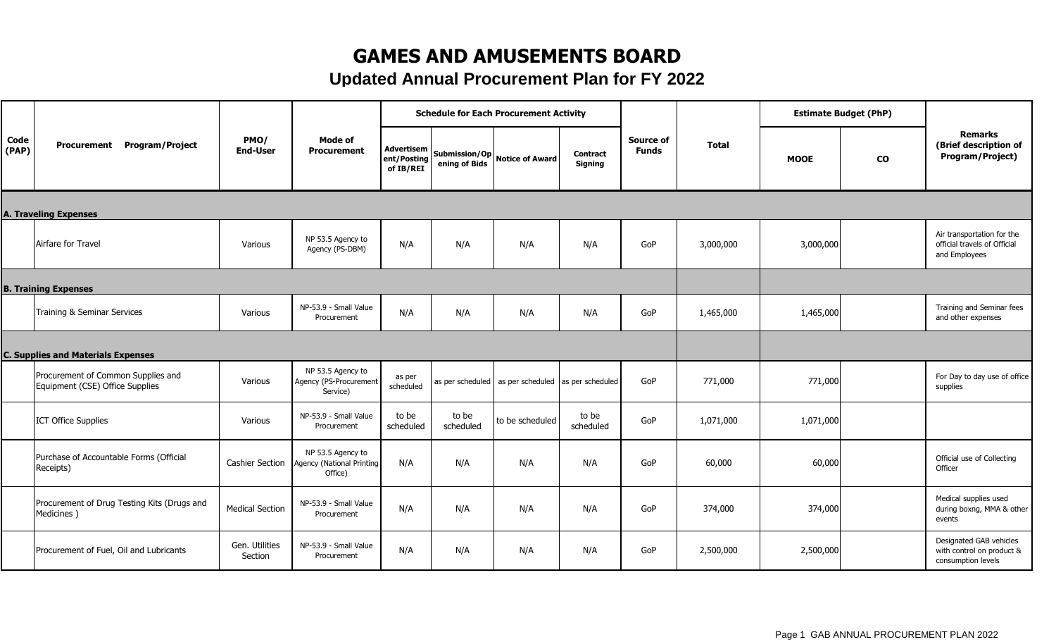## **GAMES AND AMUSEMENTS BOARD**

**Updated Annual Procurement Plan for FY 2022**

|               |                                                                       |                           |                                                           |                                        |                    | <b>Schedule for Each Procurement Activity</b>      |                            |                                  |              | <b>Estimate Budget (PhP)</b> |               |                                                                             |
|---------------|-----------------------------------------------------------------------|---------------------------|-----------------------------------------------------------|----------------------------------------|--------------------|----------------------------------------------------|----------------------------|----------------------------------|--------------|------------------------------|---------------|-----------------------------------------------------------------------------|
| Code<br>(PAP) | Program/Project<br>Procurement                                        | PMO/<br><b>End-User</b>   | Mode of<br><b>Procurement</b>                             | Advertisem<br>ent/Posting<br>of IB/REI | ening of Bids      | Submission/Op Notice of Award                      | <b>Contract</b><br>Signing | <b>Source of</b><br><b>Funds</b> | <b>Total</b> | <b>MOOE</b>                  | $\mathbf{co}$ | <b>Remarks</b><br>(Brief description of<br>Program/Project)                 |
|               | <b>A. Traveling Expenses</b>                                          |                           |                                                           |                                        |                    |                                                    |                            |                                  |              |                              |               |                                                                             |
|               | Airfare for Travel                                                    | Various                   | NP 53.5 Agency to<br>Agency (PS-DBM)                      | N/A                                    | N/A                | N/A                                                | N/A                        | GoP                              | 3,000,000    | 3,000,000                    |               | Air transportation for the<br>official travels of Official<br>and Employees |
|               | <b>B. Training Expenses</b>                                           |                           |                                                           |                                        |                    |                                                    |                            |                                  |              |                              |               |                                                                             |
|               | Training & Seminar Services                                           | Various                   | NP-53.9 - Small Value<br>Procurement                      | N/A                                    | N/A                | N/A                                                | N/A                        | GoP                              | 1,465,000    | 1,465,000                    |               | Training and Seminar fees<br>and other expenses                             |
|               | <b>C. Supplies and Materials Expenses</b>                             |                           |                                                           |                                        |                    |                                                    |                            |                                  |              |                              |               |                                                                             |
|               | Procurement of Common Supplies and<br>Equipment (CSE) Office Supplies | Various                   | NP 53.5 Agency to<br>Agency (PS-Procurement<br>Service)   | as per<br>scheduled                    |                    | as per scheduled as per scheduled as per scheduled |                            | GoP                              | 771,000      | 771,000                      |               | For Day to day use of office<br>supplies                                    |
|               | <b>ICT Office Supplies</b>                                            | Various                   | NP-53.9 - Small Value<br>Procurement                      | to be<br>scheduled                     | to be<br>scheduled | to be scheduled                                    | to be<br>scheduled         | GoP                              | 1,071,000    | 1,071,000                    |               |                                                                             |
|               | Purchase of Accountable Forms (Official<br>Receipts)                  | <b>Cashier Section</b>    | NP 53.5 Agency to<br>Agency (National Printing<br>Office) | N/A                                    | N/A                | N/A                                                | N/A                        | GoP                              | 60,000       | 60,000                       |               | Official use of Collecting<br>Officer                                       |
|               | Procurement of Drug Testing Kits (Drugs and<br>Medicines)             | <b>Medical Section</b>    | NP-53.9 - Small Value<br>Procurement                      | N/A                                    | N/A                | N/A                                                | N/A                        | GoP                              | 374,000      | 374,000                      |               | Medical supplies used<br>during boxng, MMA & other<br>events                |
|               | Procurement of Fuel, Oil and Lubricants                               | Gen. Utilities<br>Section | NP-53.9 - Small Value<br>Procurement                      | N/A                                    | N/A                | N/A                                                | N/A                        | GoP                              | 2,500,000    | 2,500,000                    |               | Designated GAB vehicles<br>with control on product &<br>consumption levels  |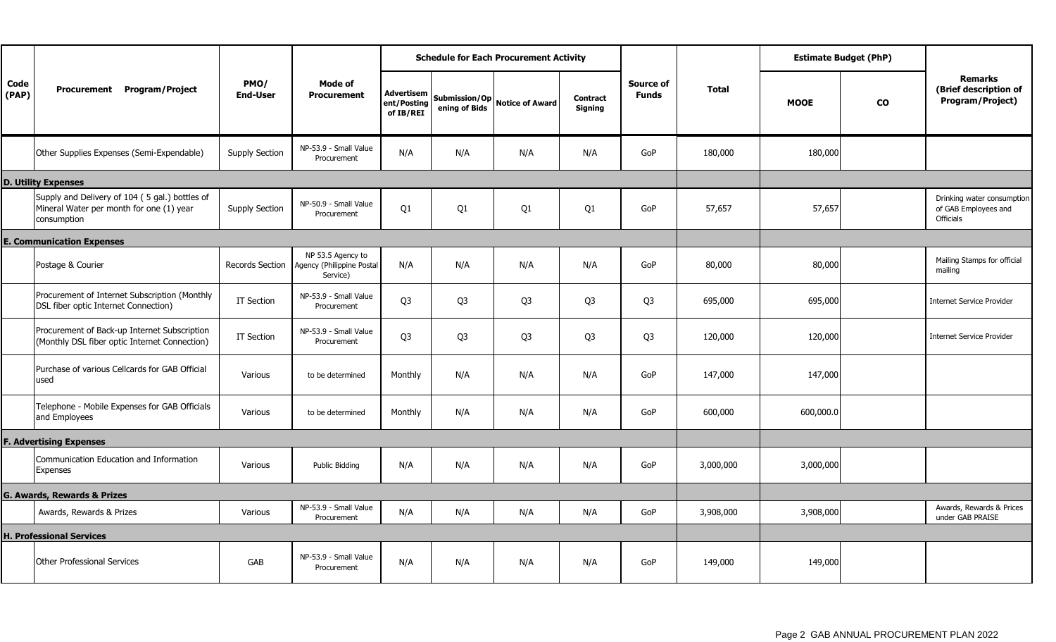|               |                                                                                                           |                         |                                                            |                                        |                | <b>Schedule for Each Procurement Activity</b> |                     |                           |           |             | <b>Estimate Budget (PhP)</b> |                                                                 |
|---------------|-----------------------------------------------------------------------------------------------------------|-------------------------|------------------------------------------------------------|----------------------------------------|----------------|-----------------------------------------------|---------------------|---------------------------|-----------|-------------|------------------------------|-----------------------------------------------------------------|
| Code<br>(PAP) | Procurement Program/Project                                                                               | PMO/<br><b>End-User</b> | Mode of<br><b>Procurement</b>                              | Advertisem<br>ent/Posting<br>of IB/REI | ening of Bids  | Submission/Op Notice of Award                 | Contract<br>Signing | Source of<br><b>Funds</b> | Total     | <b>MOOE</b> | $\mathbf{co}$                | <b>Remarks</b><br>(Brief description of<br>Program/Project)     |
|               | Other Supplies Expenses (Semi-Expendable)                                                                 | <b>Supply Section</b>   | NP-53.9 - Small Value<br>Procurement                       | N/A                                    | N/A            | N/A                                           | N/A                 | GoP                       | 180,000   | 180,000     |                              |                                                                 |
|               | <b>D. Utility Expenses</b>                                                                                |                         |                                                            |                                        |                |                                               |                     |                           |           |             |                              |                                                                 |
|               | Supply and Delivery of 104 (5 gal.) bottles of<br>Mineral Water per month for one (1) year<br>consumption | <b>Supply Section</b>   | NP-50.9 - Small Value<br>Procurement                       | Q1                                     | Q1             | Q1                                            | Q1                  | GoP                       | 57,657    | 57,657      |                              | Drinking water consumption<br>of GAB Employees and<br>Officials |
|               | <b>E. Communication Expenses</b>                                                                          |                         |                                                            |                                        |                |                                               |                     |                           |           |             |                              |                                                                 |
|               | Postage & Courier                                                                                         | <b>Records Section</b>  | NP 53.5 Agency to<br>Agency (Philippine Postal<br>Service) | N/A                                    | N/A            | N/A                                           | N/A                 | GoP                       | 80,000    | 80,000      |                              | Mailing Stamps for official<br>mailing                          |
|               | Procurement of Internet Subscription (Monthly<br>DSL fiber optic Internet Connection)                     | IT Section              | NP-53.9 - Small Value<br>Procurement                       | Q <sub>3</sub>                         | Q <sub>3</sub> | Q <sub>3</sub>                                | Q <sub>3</sub>      | Q <sub>3</sub>            | 695,000   | 695,000     |                              | <b>Internet Service Provider</b>                                |
|               | Procurement of Back-up Internet Subscription<br>(Monthly DSL fiber optic Internet Connection)             | IT Section              | NP-53.9 - Small Value<br>Procurement                       | Q <sub>3</sub>                         | Q <sub>3</sub> | Q <sub>3</sub>                                | Q <sub>3</sub>      | Q <sub>3</sub>            | 120,000   | 120,000     |                              | <b>Internet Service Provider</b>                                |
|               | Purchase of various Cellcards for GAB Official<br>used                                                    | Various                 | to be determined                                           | Monthly                                | N/A            | N/A                                           | N/A                 | GoP                       | 147,000   | 147,000     |                              |                                                                 |
|               | Telephone - Mobile Expenses for GAB Officials<br>and Employees                                            | Various                 | to be determined                                           | Monthly                                | N/A            | N/A                                           | N/A                 | GoP                       | 600,000   | 600,000.0   |                              |                                                                 |
|               | <b>F. Advertising Expenses</b>                                                                            |                         |                                                            |                                        |                |                                               |                     |                           |           |             |                              |                                                                 |
|               | Communication Education and Information<br>Expenses                                                       | Various                 | <b>Public Bidding</b>                                      | N/A                                    | N/A            | N/A                                           | N/A                 | GoP                       | 3,000,000 | 3,000,000   |                              |                                                                 |
|               | G. Awards, Rewards & Prizes                                                                               |                         |                                                            |                                        |                |                                               |                     |                           |           |             |                              |                                                                 |
|               | Awards, Rewards & Prizes                                                                                  | Various                 | NP-53.9 - Small Value<br>Procurement                       | N/A                                    | N/A            | N/A                                           | N/A                 | GoP                       | 3,908,000 | 3,908,000   |                              | Awards, Rewards & Prices<br>under GAB PRAISE                    |
|               | <b>H. Professional Services</b>                                                                           |                         |                                                            |                                        |                |                                               |                     |                           |           |             |                              |                                                                 |
|               | <b>Other Professional Services</b>                                                                        | GAB                     | NP-53.9 - Small Value<br>Procurement                       | N/A                                    | N/A            | N/A                                           | N/A                 | GoP                       | 149,000   | 149,000     |                              |                                                                 |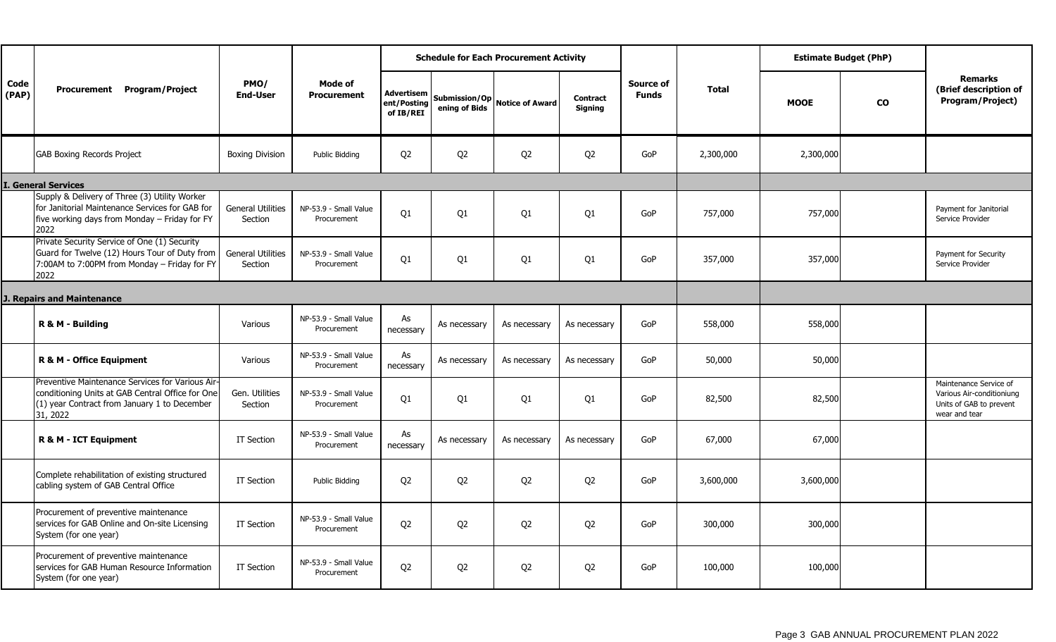|                                   |                                                                                                                                                                  |                                     |                                      |                                               |                                | <b>Schedule for Each Procurement Activity</b> |                                   |                           |              |             | <b>Estimate Budget (PhP)</b> |                                                                                                 |
|-----------------------------------|------------------------------------------------------------------------------------------------------------------------------------------------------------------|-------------------------------------|--------------------------------------|-----------------------------------------------|--------------------------------|-----------------------------------------------|-----------------------------------|---------------------------|--------------|-------------|------------------------------|-------------------------------------------------------------------------------------------------|
| Code<br>(PAP)                     | Procurement Program/Project                                                                                                                                      | PMO/<br><b>End-User</b>             | Mode of<br><b>Procurement</b>        | <b>Advertisem</b><br>ent/Posting<br>of IB/REI | Submission/Op<br>ening of Bids | <b>Notice of Award</b>                        | <b>Contract</b><br><b>Signing</b> | Source of<br><b>Funds</b> | <b>Total</b> | <b>MOOE</b> | <b>CO</b>                    | <b>Remarks</b><br>(Brief description of<br>Program/Project)                                     |
|                                   | <b>GAB Boxing Records Project</b>                                                                                                                                | <b>Boxing Division</b>              | Public Bidding                       | Q <sub>2</sub>                                | Q <sub>2</sub>                 | Q <sub>2</sub>                                | Q <sub>2</sub>                    | GoP                       | 2,300,000    | 2,300,000   |                              |                                                                                                 |
|                                   | <b>General Services</b>                                                                                                                                          |                                     |                                      |                                               |                                |                                               |                                   |                           |              |             |                              |                                                                                                 |
|                                   | Supply & Delivery of Three (3) Utility Worker<br>for Janitorial Maintenance Services for GAB for<br>five working days from Monday - Friday for FY<br>2022        | <b>General Utilities</b><br>Section | NP-53.9 - Small Value<br>Procurement | Q <sub>1</sub>                                | Q1                             | Q1                                            | Q <sub>1</sub>                    | GoP                       | 757,000      | 757,000     |                              | Payment for Janitorial<br>Service Provider                                                      |
|                                   | Private Security Service of One (1) Security<br>Guard for Twelve (12) Hours Tour of Duty from<br>7:00AM to 7:00PM from Monday - Friday for FY<br>2022            | <b>General Utilities</b><br>Section | NP-53.9 - Small Value<br>Procurement | Q1                                            | Q1                             | Q1                                            | Q1                                | GoP                       | 357,000      | 357,000     |                              | Payment for Security<br>Service Provider                                                        |
| <b>J. Repairs and Maintenance</b> |                                                                                                                                                                  |                                     |                                      |                                               |                                |                                               |                                   |                           |              |             |                              |                                                                                                 |
|                                   | R & M - Building                                                                                                                                                 | Various                             | NP-53.9 - Small Value<br>Procurement | As<br>necessary                               | As necessary                   | As necessary                                  | As necessary                      | GoP                       | 558,000      | 558,000     |                              |                                                                                                 |
|                                   | <b>R &amp; M - Office Equipment</b>                                                                                                                              | Various                             | NP-53.9 - Small Value<br>Procurement | As<br>necessary                               | As necessary                   | As necessary                                  | As necessary                      | GoP                       | 50,000       | 50,000      |                              |                                                                                                 |
|                                   | Preventive Maintenance Services for Various Air-<br>conditioning Units at GAB Central Office for One<br>(1) year Contract from January 1 to December<br>31, 2022 | Gen. Utilities<br>Section           | NP-53.9 - Small Value<br>Procurement | Q <sub>1</sub>                                | Q1                             | Q1                                            | Q1                                | GoP                       | 82,500       | 82,500      |                              | Maintenance Service of<br>Various Air-conditioniung<br>Units of GAB to prevent<br>wear and tear |
|                                   | R & M - ICT Equipment                                                                                                                                            | IT Section                          | NP-53.9 - Small Value<br>Procurement | As<br>necessary                               | As necessary                   | As necessary                                  | As necessary                      | GoP                       | 67,000       | 67,000      |                              |                                                                                                 |
|                                   | Complete rehabilitation of existing structured<br>cabling system of GAB Central Office                                                                           | IT Section                          | Public Bidding                       | Q <sub>2</sub>                                | Q <sub>2</sub>                 | Q <sub>2</sub>                                | Q <sub>2</sub>                    | GoP                       | 3,600,000    | 3,600,000   |                              |                                                                                                 |
|                                   | Procurement of preventive maintenance<br>services for GAB Online and On-site Licensing<br>System (for one year)                                                  | IT Section                          | NP-53.9 - Small Value<br>Procurement | Q <sub>2</sub>                                | Q <sub>2</sub>                 | Q <sub>2</sub>                                | Q <sub>2</sub>                    | GoP                       | 300,000      | 300,000     |                              |                                                                                                 |
|                                   | Procurement of preventive maintenance<br>services for GAB Human Resource Information<br>System (for one year)                                                    | IT Section                          | NP-53.9 - Small Value<br>Procurement | Q <sub>2</sub>                                | Q <sub>2</sub>                 | Q <sub>2</sub>                                | Q <sub>2</sub>                    | GoP                       | 100,000      | 100,000     |                              |                                                                                                 |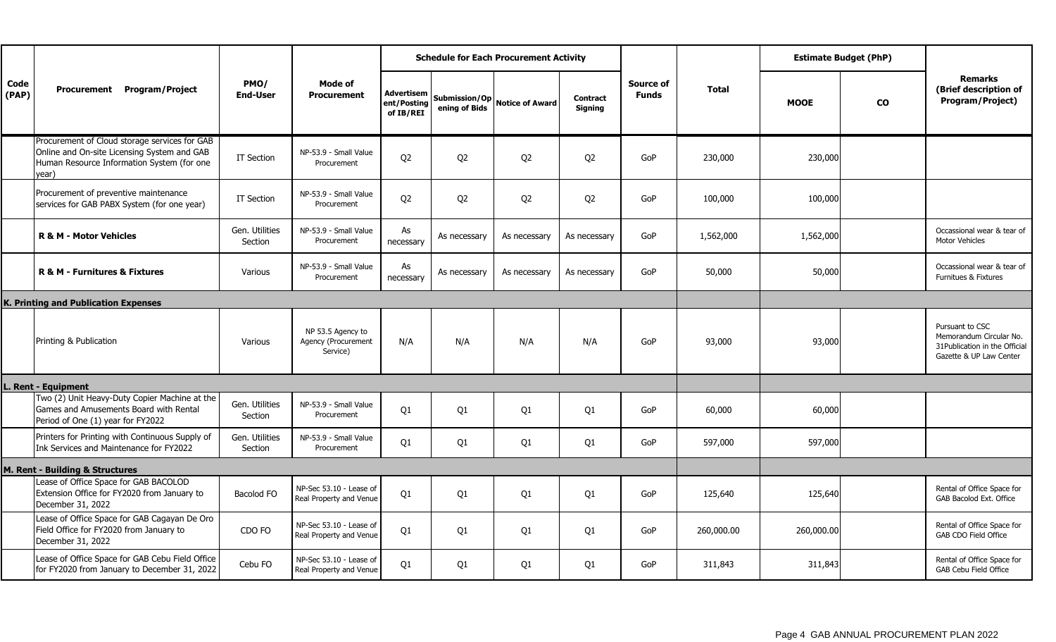|               |                                                                                                                                                      |                           | Mode of<br><b>Procurement</b>                        |                                               |                | <b>Schedule for Each Procurement Activity</b> |                                   |                           |              |             | <b>Estimate Budget (PhP)</b> |                                                                                                         |
|---------------|------------------------------------------------------------------------------------------------------------------------------------------------------|---------------------------|------------------------------------------------------|-----------------------------------------------|----------------|-----------------------------------------------|-----------------------------------|---------------------------|--------------|-------------|------------------------------|---------------------------------------------------------------------------------------------------------|
| Code<br>(PAP) | Procurement Program/Project                                                                                                                          | PMO/<br><b>End-User</b>   |                                                      | <b>Advertisem</b><br>ent/Posting<br>of IB/REI |                | Submission/Op Notice of Award                 | <b>Contract</b><br><b>Signing</b> | Source of<br><b>Funds</b> | <b>Total</b> | <b>MOOE</b> | <b>CO</b>                    | <b>Remarks</b><br>(Brief description of<br>Program/Project)                                             |
|               | Procurement of Cloud storage services for GAB<br>Online and On-site Licensing System and GAB<br>Human Resource Information System (for one<br>year). | IT Section                | NP-53.9 - Small Value<br>Procurement                 | Q <sub>2</sub>                                | Q <sub>2</sub> | Q <sub>2</sub>                                | Q <sub>2</sub>                    | GoP                       | 230,000      | 230,000     |                              |                                                                                                         |
|               | Procurement of preventive maintenance<br>services for GAB PABX System (for one year)                                                                 | IT Section                | NP-53.9 - Small Value<br>Procurement                 | Q <sub>2</sub>                                | Q <sub>2</sub> | Q <sub>2</sub>                                | Q <sub>2</sub>                    | GoP                       | 100,000      | 100,000     |                              |                                                                                                         |
|               | <b>R &amp; M - Motor Vehicles</b>                                                                                                                    | Gen. Utilities<br>Section | NP-53.9 - Small Value<br>Procurement                 | As<br>necessary                               | As necessary   | As necessary                                  | As necessary                      | GoP                       | 1,562,000    | 1,562,000   |                              | Occassional wear & tear of<br><b>Motor Vehicles</b>                                                     |
|               | R & M - Furnitures & Fixtures                                                                                                                        | Various                   | NP-53.9 - Small Value<br>Procurement                 | As<br>necessary                               | As necessary   | As necessary                                  | As necessary                      | GoP                       | 50,000       | 50,000      |                              | Occassional wear & tear of<br>Furnitues & Fixtures                                                      |
|               | K. Printing and Publication Expenses                                                                                                                 |                           |                                                      |                                               |                |                                               |                                   |                           |              |             |                              |                                                                                                         |
|               | Printing & Publication                                                                                                                               | Various                   | NP 53.5 Agency to<br>Agency (Procurement<br>Service) | N/A                                           | N/A            | N/A                                           | N/A                               | GoP                       | 93,000       | 93,000      |                              | Pursuant to CSC<br>Memorandum Circular No.<br>31 Publication in the Official<br>Gazette & UP Law Center |
|               | L. Rent - Equipment                                                                                                                                  |                           |                                                      |                                               |                |                                               |                                   |                           |              |             |                              |                                                                                                         |
|               | Two (2) Unit Heavy-Duty Copier Machine at the<br>Games and Amusements Board with Rental<br>Period of One (1) year for FY2022                         | Gen. Utilities<br>Section | NP-53.9 - Small Value<br>Procurement                 | Q1                                            | Q <sub>1</sub> | Q1                                            | Q1                                | GoP                       | 60,000       | 60,000      |                              |                                                                                                         |
|               | Printers for Printing with Continuous Supply of<br>Ink Services and Maintenance for FY2022                                                           | Gen. Utilities<br>Section | NP-53.9 - Small Value<br>Procurement                 | Q1                                            | Q <sub>1</sub> | Q1                                            | Q1                                | GoP                       | 597,000      | 597,000     |                              |                                                                                                         |
|               | M. Rent - Building & Structures                                                                                                                      |                           |                                                      |                                               |                |                                               |                                   |                           |              |             |                              |                                                                                                         |
|               | Lease of Office Space for GAB BACOLOD<br>Extension Office for FY2020 from January to<br>December 31, 2022                                            | Bacolod FO                | NP-Sec 53.10 - Lease of<br>Real Property and Venue   | Q1                                            | Q <sub>1</sub> | Q1                                            | Q1                                | GoP                       | 125,640      | 125,640     |                              | Rental of Office Space for<br>GAB Bacolod Ext. Office                                                   |
|               | Lease of Office Space for GAB Cagayan De Oro<br>Field Office for FY2020 from January to<br>December 31, 2022                                         | CDO FO                    | NP-Sec 53.10 - Lease of<br>Real Property and Venue   | Q1                                            | Q <sub>1</sub> | Q1                                            | Q1                                | GoP                       | 260,000.00   | 260,000.00  |                              | Rental of Office Space for<br>GAB CDO Field Office                                                      |
|               | Lease of Office Space for GAB Cebu Field Office<br>for FY2020 from January to December 31, 2022                                                      | Cebu FO                   | NP-Sec 53.10 - Lease of<br>Real Property and Venue   | Q1                                            | Q1             | Q1                                            | Q1                                | GoP                       | 311,843      | 311,843     |                              | Rental of Office Space for<br>GAB Cebu Field Office                                                     |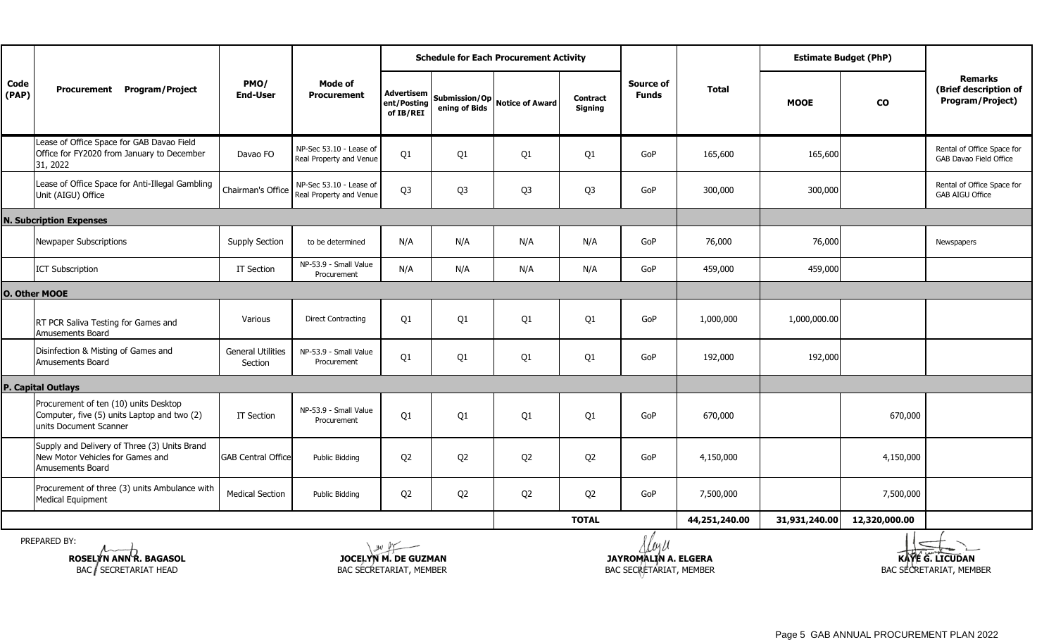|               |                                                                                                                |                                     | Mode of<br><b>Procurement</b>                      |                                               |                                | <b>Schedule for Each Procurement Activity</b> |                                   |                           |               |               | <b>Estimate Budget (PhP)</b> |                                                             |
|---------------|----------------------------------------------------------------------------------------------------------------|-------------------------------------|----------------------------------------------------|-----------------------------------------------|--------------------------------|-----------------------------------------------|-----------------------------------|---------------------------|---------------|---------------|------------------------------|-------------------------------------------------------------|
| Code<br>(PAP) | Procurement Program/Project                                                                                    | PMO/<br><b>End-User</b>             |                                                    | <b>Advertisem</b><br>ent/Posting<br>of IB/REI | Submission/Op<br>ening of Bids | <b>Notice of Award</b>                        | <b>Contract</b><br><b>Signing</b> | Source of<br><b>Funds</b> | <b>Total</b>  | <b>MOOE</b>   | $\mathbf{co}$                | <b>Remarks</b><br>(Brief description of<br>Program/Project) |
|               | Lease of Office Space for GAB Davao Field<br>Office for FY2020 from January to December<br>31, 2022            | Davao FO                            | NP-Sec 53.10 - Lease of<br>Real Property and Venue | Q1                                            | Q <sub>1</sub>                 | Q1                                            | Q1                                | GoP                       | 165,600       | 165,600       |                              | Rental of Office Space for<br><b>GAB Davao Field Office</b> |
|               | Lease of Office Space for Anti-Illegal Gambling<br>Unit (AIGU) Office                                          | Chairman's Office                   | NP-Sec 53.10 - Lease of<br>Real Property and Venue | Q <sub>3</sub>                                | Q <sub>3</sub>                 | Q <sub>3</sub>                                | Q <sub>3</sub>                    | GoP                       | 300,000       | 300,000       |                              | Rental of Office Space for<br><b>GAB AIGU Office</b>        |
|               | <b>N. Subcription Expenses</b>                                                                                 |                                     |                                                    |                                               |                                |                                               |                                   |                           |               |               |                              |                                                             |
|               | Newpaper Subscriptions                                                                                         | <b>Supply Section</b>               | to be determined                                   | N/A                                           | N/A                            | N/A                                           | N/A                               | GoP                       | 76,000        | 76,000        |                              | Newspapers                                                  |
|               | <b>ICT Subscription</b>                                                                                        | IT Section                          | NP-53.9 - Small Value<br>Procurement               | N/A                                           | N/A                            | N/A                                           | N/A                               | GoP                       | 459,000       | 459,000       |                              |                                                             |
|               | <b>O. Other MOOE</b>                                                                                           |                                     |                                                    |                                               |                                |                                               |                                   |                           |               |               |                              |                                                             |
|               | RT PCR Saliva Testing for Games and<br>Amusements Board                                                        | Various                             | <b>Direct Contracting</b>                          | Q1                                            | Q1                             | Q <sub>1</sub>                                | Q <sub>1</sub>                    | GoP                       | 1,000,000     | 1,000,000.00  |                              |                                                             |
|               | Disinfection & Misting of Games and<br>Amusements Board                                                        | <b>General Utilities</b><br>Section | NP-53.9 - Small Value<br>Procurement               | Q1                                            | Q <sub>1</sub>                 | Q1                                            | Q1                                | GoP                       | 192,000       | 192,000       |                              |                                                             |
|               | <b>P. Capital Outlays</b>                                                                                      |                                     |                                                    |                                               |                                |                                               |                                   |                           |               |               |                              |                                                             |
|               | Procurement of ten (10) units Desktop<br>Computer, five (5) units Laptop and two (2)<br>units Document Scanner | IT Section                          | NP-53.9 - Small Value<br>Procurement               | Q1                                            | Q <sub>1</sub>                 | Q <sub>1</sub>                                | Q <sub>1</sub>                    | GoP                       | 670,000       |               | 670,000                      |                                                             |
|               | Supply and Delivery of Three (3) Units Brand<br>New Motor Vehicles for Games and<br><b>Amusements Board</b>    | <b>GAB Central Office</b>           | Public Bidding                                     | Q <sub>2</sub>                                | Q <sub>2</sub>                 | Q <sub>2</sub>                                | Q <sub>2</sub>                    | GoP                       | 4,150,000     |               | 4,150,000                    |                                                             |
|               | Procurement of three (3) units Ambulance with<br>Medical Equipment                                             | <b>Medical Section</b>              | Public Bidding                                     | Q <sub>2</sub>                                | Q <sub>2</sub>                 | Q <sub>2</sub>                                | Q <sub>2</sub>                    | GoP                       | 7,500,000     |               | 7,500,000                    |                                                             |
|               |                                                                                                                |                                     |                                                    |                                               |                                |                                               | <b>TOTAL</b>                      |                           | 44,251,240.00 | 31,931,240.00 | 12,320,000.00                |                                                             |

PREPARED BY:



**KAYE G. LICUDAN**<br>BAC SECRETARIAT, MEMBER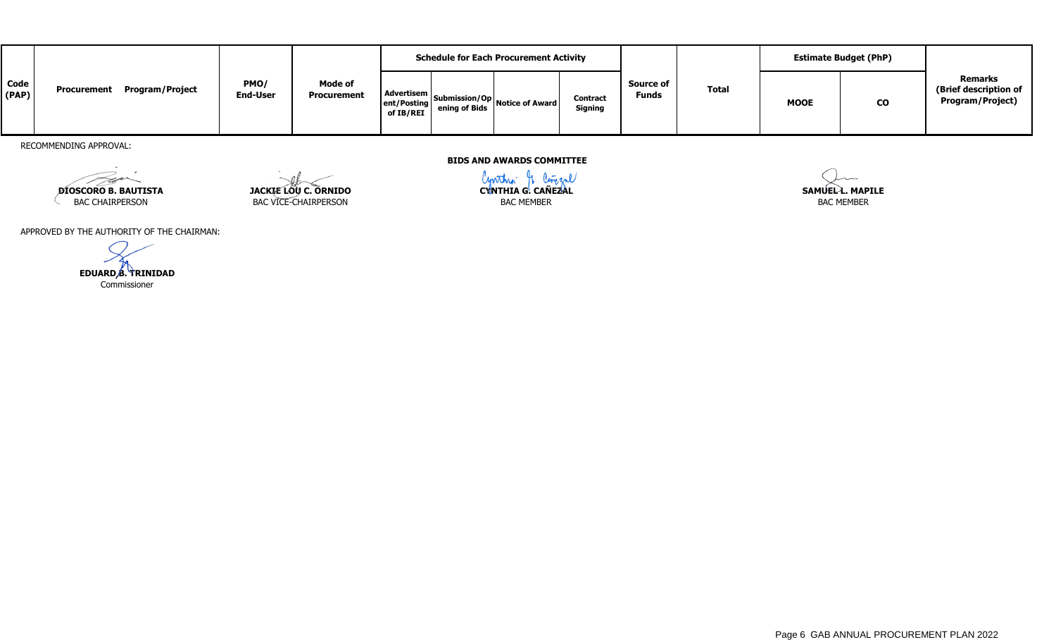|               |                                |                         |                                      | <b>Schedule for Each Procurement Activity</b> |               |                                           |                                   |                                  |       | <b>Estimate Budget (PhP)</b> |           |                                                             |
|---------------|--------------------------------|-------------------------|--------------------------------------|-----------------------------------------------|---------------|-------------------------------------------|-----------------------------------|----------------------------------|-------|------------------------------|-----------|-------------------------------------------------------------|
| Code<br>(PAP) | Program/Project<br>Procurement | PMO/<br><b>End-User</b> | <b>Mode of</b><br><b>Procurement</b> | Advertisem L<br>of IB/REI                     | ening of Bids | ent/Posting Submission/Op Notice of Award | <b>Contract</b><br><b>Signing</b> | <b>Source of</b><br><b>Funds</b> | Total | <b>MOOE</b>                  | <b>CO</b> | <b>Remarks</b><br>(Brief description of<br>Program/Project) |

RECOMMENDING APPROVAL:

F

**DIOSCORO B. BAUTISTA JACKIE LOU C. ORNIDO CONTROL CYNTHIA G. CAÑEZAL** SAMUELL. MAPILE BAC CHAIRPERSON BAC VICE-CHAIRPERSON BAC MEMBER

**BIDS AND AWARDS COMMITTEE**

BAC MEMBER

APPROVED BY THE AUTHORITY OF THE CHAIRMAN:

Commissioner **EDUARD B. TRINIDAD**